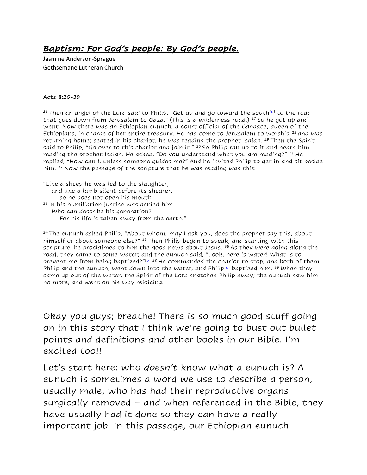## *Baptism: For God's people: By God's people.*

Jasmine Anderson-Sprague Gethsemane Lutheran Church

## Acts 8:26-39

<sup>26</sup> Then an angel of the Lord said to Philip, "Get up and go toward the south<sup>[\[a\]](https://www.biblegateway.com/passage/?search=Acts%208%3A26-40&version=NRSV#fen-NRSV-27192a)</sup> to the road that goes down from Jerusalem to Gaza." (This is a wilderness road.) <sup>27</sup> So he got up and went. Now there was an Ethiopian eunuch, a court official of the Candace, queen of the Ethiopians, in charge of her entire treasury. He had come to Jerusalem to worship  $28$  and was returning home; seated in his chariot, he was reading the prophet Isaiah. <sup>29</sup> Then the Spirit said to Philip, "Go over to this chariot and join it."  $30$  So Philip ran up to it and heard him reading the prophet Isaiah. He asked, "Do you understand what you are reading?" 31 He replied, "How can I, unless someone guides me?" And he invited Philip to get in and sit beside him. <sup>32</sup> Now the passage of the scripture that he was reading was this:

"Like a sheep he was led to the slaughter, and like a lamb silent before its shearer, so he does not open his mouth. 33 In his humiliation justice was denied him. Who can describe his generation? For his life is taken away from the earth."

 $34$  The eunuch asked Philip, "About whom, may I ask you, does the prophet say this, about himself or about someone else?" <sup>35</sup> Then Philip began to speak, and starting with this scripture, he proclaimed to him the good news about Jesus. <sup>36</sup> As they were going along the road, they came to some water; and the eunuch said, "Look, here is water! What is to prevent me from being baptized?" $[$  $b]$ <sup>38</sup> He commanded the chariot to stop, and both of them, Philip and the eunuch, went down into the water, and Philip<sup>[\[c\]](https://www.biblegateway.com/passage/?search=Acts%208%3A26-40&version=NRSV#fen-NRSV-27203c)</sup> baptized him.  $39$  When they came up out of the water, the Spirit of the Lord snatched Philip away; the eunuch saw him no more, and went on his way rejoicing.

Okay you guys; breathe! There is so much good stuff going on in this story that I think we're going to bust out bullet points and definitions and other books in our Bible. I'm excited too!!

Let's start here: who *doesn't* know what a eunuch is? A eunuch is sometimes a word we use to describe a person, usually male, who has had their reproductive organs surgically removed – and when referenced in the Bible, they have usually had it done so they can have a really important job. In this passage, our Ethiopian eunuch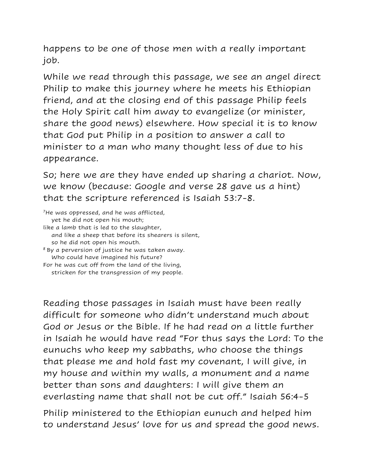happens to be one of those men with a really important job.

While we read through this passage, we see an angel direct Philip to make this journey where he meets his Ethiopian friend, and at the closing end of this passage Philip feels the Holy Spirit call him away to evangelize (or minister, share the good news) elsewhere. How special it is to know that God put Philip in a position to answer a call to minister to a man who many thought less of due to his appearance.

So; here we are they have ended up sharing a chariot. Now, we know (because: Google and verse 28 gave us a hint) that the scripture referenced is Isaiah 53:7-8.

<sup>7</sup>He was oppressed, and he was afflicted, yet he did not open his mouth; like a lamb that is led to the slaughter, and like a sheep that before its shearers is silent, so he did not open his mouth.  $8$  By a perversion of justice he was taken away.

 Who could have imagined his future? For he was cut off from the land of the living,

stricken for the transgression of my people.

Reading those passages in Isaiah must have been really difficult for someone who didn't understand much about God or Jesus or the Bible. If he had read on a little further in Isaiah he would have read "For thus says the Lord: To the eunuchs who keep my sabbaths, who choose the things that please me and hold fast my covenant, I will give, in my house and within my walls, a monument and a name better than sons and daughters: I will give them an everlasting name that shall not be cut off." Isaiah 56:4-5

Philip ministered to the Ethiopian eunuch and helped him to understand Jesus' love for us and spread the good news.